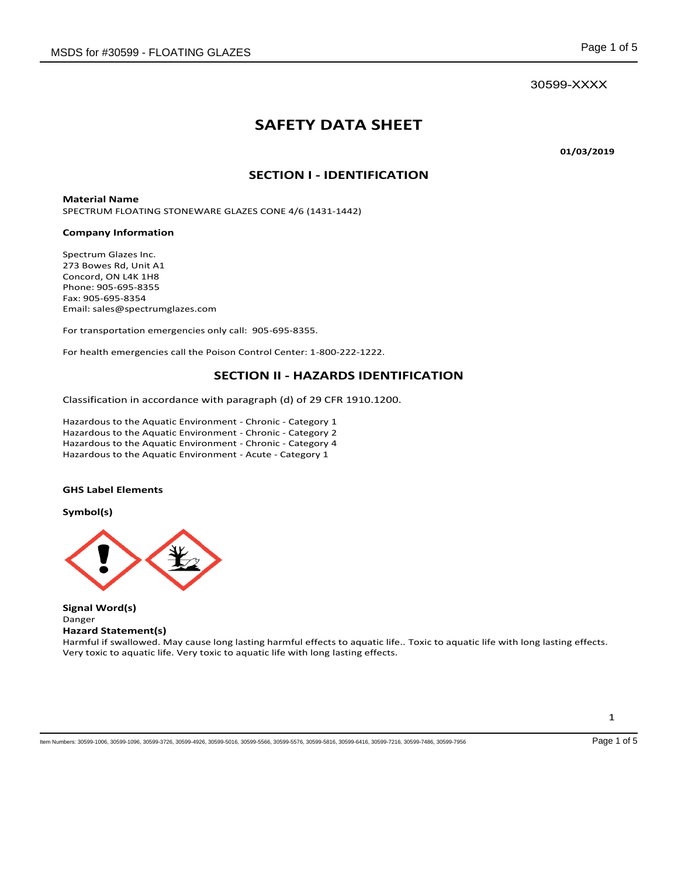# **SAFETY DATA SHEET**

**01/03/2019** 

## **SECTION I - IDENTIFICATION**

**Material Name**  SPECTRUM FLOATING STONEWARE GLAZES CONE 4/6 (1431-1442)

#### **Company Information**

Spectrum Glazes Inc. 273 Bowes Rd, Unit A1 Concord, ON L4K 1H8 Phone: 905-695-8355 Fax: 905-695-8354 Email: sales@spectrumglazes.com

For transportation emergencies only call: 905-695-8355.

For health emergencies call the Poison Control Center: 1-800-222-1222.

### **SECTION II - HAZARDS IDENTIFICATION**

Classification in accordance with paragraph (d) of 29 CFR 1910.1200.

Hazardous to the Aquatic Environment - Chronic - Category 1 Hazardous to the Aquatic Environment - Chronic - Category 2 Hazardous to the Aquatic Environment - Chronic - Category 4 Hazardous to the Aquatic Environment - Acute - Category 1

#### **GHS Label Elements**

**Symbol(s)** 



**Signal Word(s)**  Danger **Hazard Statement(s)** 

Harmful if swallowed. May cause long lasting harmful effects to aquatic life.. Toxic to aquatic life with long lasting effects. Very toxic to aquatic life. Very toxic to aquatic life with long lasting effects.

Item Numbers: 30599-1006, 30599-1096, 30599-3726, 30599-4926, 30599-5016, 30599-5566, 30599-5576, 30599-5816, 30599-6416, 30599-7216, 30599-7486, 30599-7956 Page 1 of 5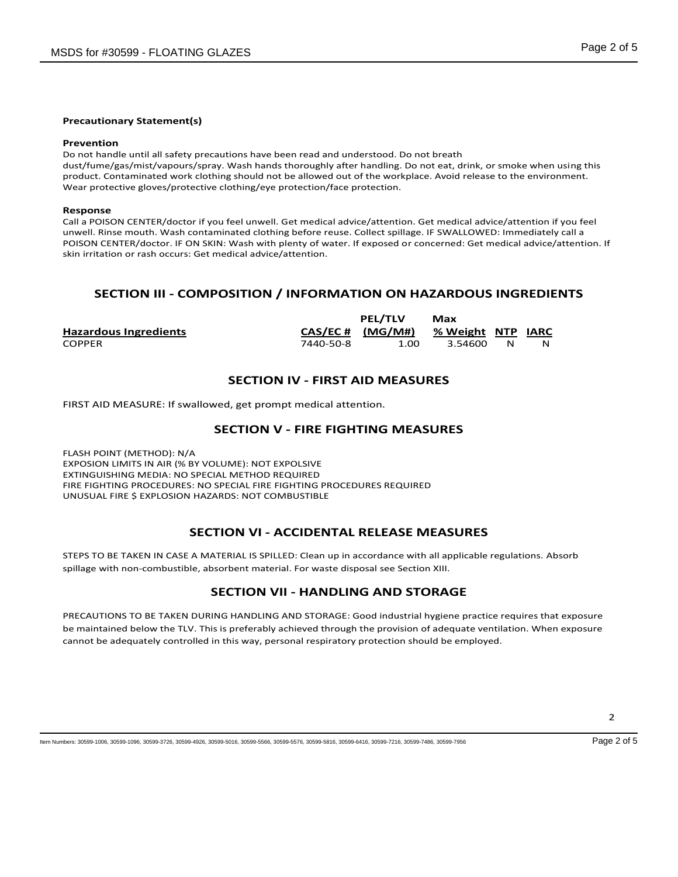#### **Precautionary Statement(s)**

#### **Prevention**

Do not handle until all safety precautions have been read and understood. Do not breath dust/fume/gas/mist/vapours/spray. Wash hands thoroughly after handling. Do not eat, drink, or smoke when using this product. Contaminated work clothing should not be allowed out of the workplace. Avoid release to the environment. Wear protective gloves/protective clothing/eye protection/face protection.

#### **Response**

Call a POISON CENTER/doctor if you feel unwell. Get medical advice/attention. Get medical advice/attention if you feel unwell. Rinse mouth. Wash contaminated clothing before reuse. Collect spillage. IF SWALLOWED: Immediately call a POISON CENTER/doctor. IF ON SKIN: Wash with plenty of water. If exposed or concerned: Get medical advice/attention. If skin irritation or rash occurs: Get medical advice/attention.

# **SECTION III - COMPOSITION / INFORMATION ON HAZARDOUS INGREDIENTS**

|                              |                      | <b>PEL/TLV</b> | Max               |   |  |
|------------------------------|----------------------|----------------|-------------------|---|--|
| <b>Hazardous Ingredients</b> | $CAS/EC \# (MG/M\#)$ |                | % Weight NTP IARC |   |  |
| <b>COPPER</b>                | 7440-50-8            | 1.00           | 3.54600           | N |  |

# **SECTION IV - FIRST AID MEASURES**

FIRST AID MEASURE: If swallowed, get prompt medical attention.

### **SECTION V - FIRE FIGHTING MEASURES**

FLASH POINT (METHOD): N/A EXPOSION LIMITS IN AIR (% BY VOLUME): NOT EXPOLSIVE EXTINGUISHING MEDIA: NO SPECIAL METHOD REQUIRED FIRE FIGHTING PROCEDURES: NO SPECIAL FIRE FIGHTING PROCEDURES REQUIRED UNUSUAL FIRE \$ EXPLOSION HAZARDS: NOT COMBUSTIBLE

### **SECTION VI - ACCIDENTAL RELEASE MEASURES**

STEPS TO BE TAKEN IN CASE A MATERIAL IS SPILLED: Clean up in accordance with all applicable regulations. Absorb spillage with non-combustible, absorbent material. For waste disposal see Section XIII.

# **SECTION VII - HANDLING AND STORAGE**

PRECAUTIONS TO BE TAKEN DURING HANDLING AND STORAGE: Good industrial hygiene practice requires that exposure be maintained below the TLV. This is preferably achieved through the provision of adequate ventilation. When exposure cannot be adequately controlled in this way, personal respiratory protection should be employed.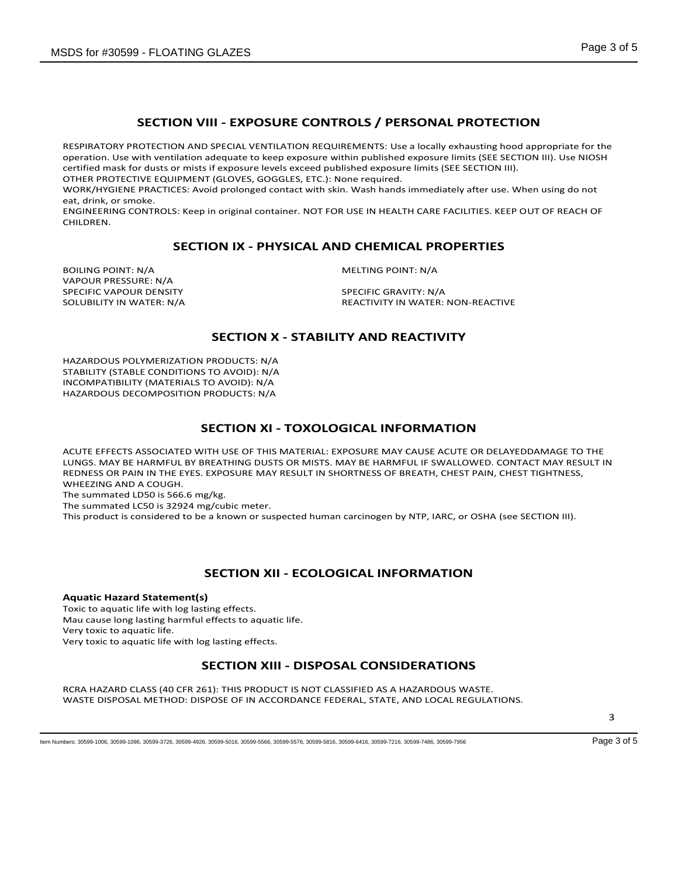# **SECTION VIII - EXPOSURE CONTROLS / PERSONAL PROTECTION**

RESPIRATORY PROTECTION AND SPECIAL VENTILATION REQUIREMENTS: Use a locally exhausting hood appropriate for the operation. Use with ventilation adequate to keep exposure within published exposure limits (SEE SECTION III). Use NIOSH certified mask for dusts or mists if exposure levels exceed published exposure limits (SEE SECTION III).

OTHER PROTECTIVE EQUIPMENT (GLOVES, GOGGLES, ETC.): None required.

WORK/HYGIENE PRACTICES: Avoid prolonged contact with skin. Wash hands immediately after use. When using do not eat, drink, or smoke.

ENGINEERING CONTROLS: Keep in original container. NOT FOR USE IN HEALTH CARE FACILITIES. KEEP OUT OF REACH OF CHILDREN.

### **SECTION IX - PHYSICAL AND CHEMICAL PROPERTIES**

BOILING POINT: N/A MELTING POINT: N/A VAPOUR PRESSURE: N/A SPECIFIC VAPOUR DENSITY<br>SOLUBILITY IN WATER: N/A SOLUBILITY IN WATER:

REACTIVITY IN WATER: NON-REACTIVE

# **SECTION X - STABILITY AND REACTIVITY**

HAZARDOUS POLYMERIZATION PRODUCTS: N/A STABILITY (STABLE CONDITIONS TO AVOID): N/A INCOMPATIBILITY (MATERIALS TO AVOID): N/A HAZARDOUS DECOMPOSITION PRODUCTS: N/A

### **SECTION XI - TOXOLOGICAL INFORMATION**

ACUTE EFFECTS ASSOCIATED WITH USE OF THIS MATERIAL: EXPOSURE MAY CAUSE ACUTE OR DELAYEDDAMAGE TO THE LUNGS. MAY BE HARMFUL BY BREATHING DUSTS OR MISTS. MAY BE HARMFUL IF SWALLOWED. CONTACT MAY RESULT IN REDNESS OR PAIN IN THE EYES. EXPOSURE MAY RESULT IN SHORTNESS OF BREATH, CHEST PAIN, CHEST TIGHTNESS, WHEEZING AND A COUGH.

The summated LD50 is 566.6 mg/kg.

The summated LC50 is 32924 mg/cubic meter.

This product is considered to be a known or suspected human carcinogen by NTP, IARC, or OSHA (see SECTION III).

## **SECTION XII - ECOLOGICAL INFORMATION**

**Aquatic Hazard Statement(s)** Toxic to aquatic life with log lasting effects.

Mau cause long lasting harmful effects to aquatic life.

Very toxic to aquatic life.

Very toxic to aquatic life with log lasting effects.

# **SECTION XIII - DISPOSAL CONSIDERATIONS**

RCRA HAZARD CLASS (40 CFR 261): THIS PRODUCT IS NOT CLASSIFIED AS A HAZARDOUS WASTE. WASTE DISPOSAL METHOD: DISPOSE OF IN ACCORDANCE FEDERAL, STATE, AND LOCAL REGULATIONS.

3

Item Numbers: 30599-1006, 30599-1096, 30599-3726, 30599-4926, 30599-5016, 30599-5566, 30599-5576, 30599-5416, 30599-74716, 30599-7486, 30599-7956 Page 3 of 5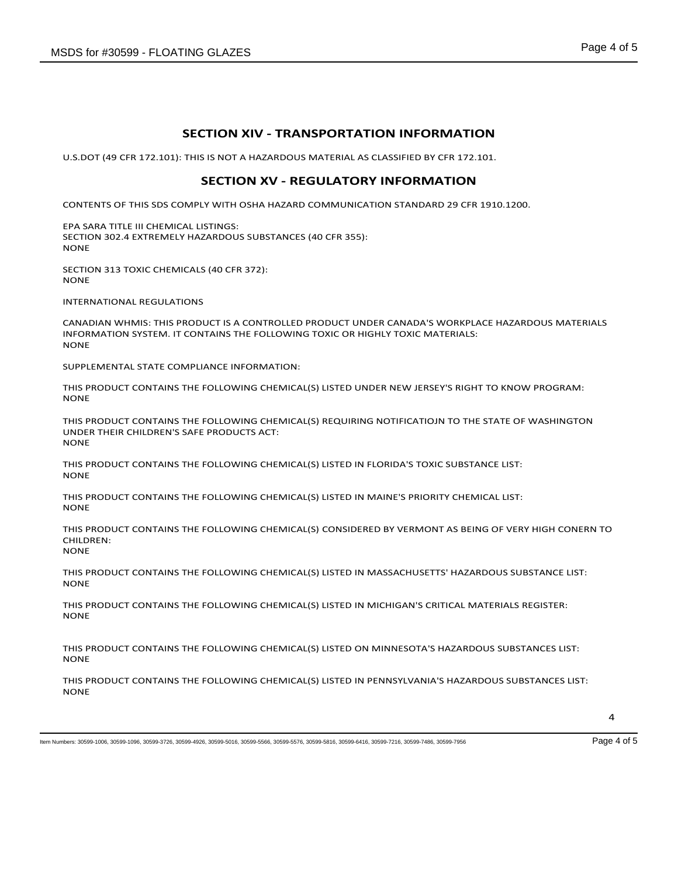## **SECTION XIV - TRANSPORTATION INFORMATION**

U.S.DOT (49 CFR 172.101): THIS IS NOT A HAZARDOUS MATERIAL AS CLASSIFIED BY CFR 172.101.

#### **SECTION XV - REGULATORY INFORMATION**

CONTENTS OF THIS SDS COMPLY WITH OSHA HAZARD COMMUNICATION STANDARD 29 CFR 1910.1200.

EPA SARA TITLE III CHEMICAL LISTINGS: SECTION 302.4 EXTREMELY HAZARDOUS SUBSTANCES (40 CFR 355): NONE

SECTION 313 TOXIC CHEMICALS (40 CFR 372): NONE

INTERNATIONAL REGULATIONS

CANADIAN WHMIS: THIS PRODUCT IS A CONTROLLED PRODUCT UNDER CANADA'S WORKPLACE HAZARDOUS MATERIALS INFORMATION SYSTEM. IT CONTAINS THE FOLLOWING TOXIC OR HIGHLY TOXIC MATERIALS: **NONE** 

SUPPLEMENTAL STATE COMPLIANCE INFORMATION:

THIS PRODUCT CONTAINS THE FOLLOWING CHEMICAL(S) LISTED UNDER NEW JERSEY'S RIGHT TO KNOW PROGRAM: NONE

THIS PRODUCT CONTAINS THE FOLLOWING CHEMICAL(S) REQUIRING NOTIFICATIOJN TO THE STATE OF WASHINGTON UNDER THEIR CHILDREN'S SAFE PRODUCTS ACT: **NONE** 

THIS PRODUCT CONTAINS THE FOLLOWING CHEMICAL(S) LISTED IN FLORIDA'S TOXIC SUBSTANCE LIST: NONE

THIS PRODUCT CONTAINS THE FOLLOWING CHEMICAL(S) LISTED IN MAINE'S PRIORITY CHEMICAL LIST: NONE

THIS PRODUCT CONTAINS THE FOLLOWING CHEMICAL(S) CONSIDERED BY VERMONT AS BEING OF VERY HIGH CONERN TO CHILDREN: **NONE** 

THIS PRODUCT CONTAINS THE FOLLOWING CHEMICAL(S) LISTED IN MASSACHUSETTS' HAZARDOUS SUBSTANCE LIST: **NONE** 

THIS PRODUCT CONTAINS THE FOLLOWING CHEMICAL(S) LISTED IN MICHIGAN'S CRITICAL MATERIALS REGISTER: NONE

THIS PRODUCT CONTAINS THE FOLLOWING CHEMICAL(S) LISTED ON MINNESOTA'S HAZARDOUS SUBSTANCES LIST: **NONE** 

THIS PRODUCT CONTAINS THE FOLLOWING CHEMICAL(S) LISTED IN PENNSYLVANIA'S HAZARDOUS SUBSTANCES LIST: **NONE** 

Item Numbers: 30599-1006, 30599-1096, 30599-3726, 30599-4926, 30599-5016, 30599-5566, 30599-5576, 30599-5816, 30599-6416, 30599-7216, 30599-7486, 30599-7956 Page 4 of 5